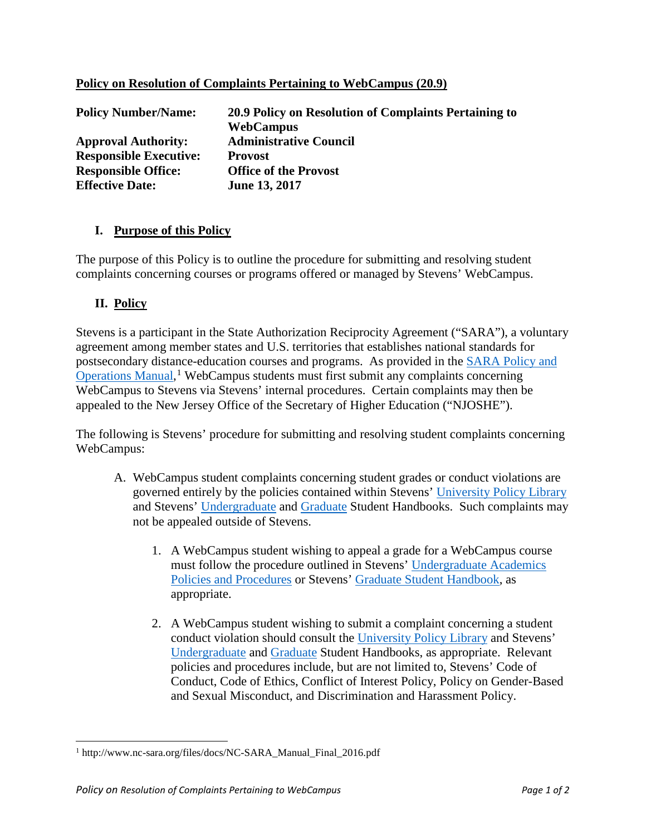| <b>Policy Number/Name:</b>    | 20.9 Policy on Resolution of Complaints Pertaining to |
|-------------------------------|-------------------------------------------------------|
|                               | <b>WebCampus</b>                                      |
| <b>Approval Authority:</b>    | <b>Administrative Council</b>                         |
| <b>Responsible Executive:</b> | <b>Provost</b>                                        |
| <b>Responsible Office:</b>    | <b>Office of the Provost</b>                          |
| <b>Effective Date:</b>        | June 13, 2017                                         |

## **Policy on Resolution of Complaints Pertaining to WebCampus (20.9)**

## **I. Purpose of this Policy**

The purpose of this Policy is to outline the procedure for submitting and resolving student complaints concerning courses or programs offered or managed by Stevens' WebCampus.

## **II. Policy**

l

Stevens is a participant in the State Authorization Reciprocity Agreement ("SARA"), a voluntary agreement among member states and U.S. territories that establishes national standards for postsecondary distance-education courses and programs. As provided in the [SARA Policy and](http://www.nc-sara.org/files/docs/NC-SARA_Manual_Final_2016.pdf)  [Operations Manual,](http://www.nc-sara.org/files/docs/NC-SARA_Manual_Final_2016.pdf)<sup>[1](#page-0-0)</sup> WebCampus students must first submit any complaints concerning WebCampus to Stevens via Stevens' internal procedures. Certain complaints may then be appealed to the New Jersey Office of the Secretary of Higher Education ("NJOSHE").

The following is Stevens' procedure for submitting and resolving student complaints concerning WebCampus:

- A. WebCampus student complaints concerning student grades or conduct violations are governed entirely by the policies contained within Stevens' [University Policy Library](https://www.stevens.edu/about-stevens/university-policy-library/) and Stevens' [Undergraduate](https://www.stevens.edu/sites/stevens_edu/files/files/Stevens_Undergraduate_Student_Handbook.pdf) and [Graduate](https://www.stevens.edu/about-stevens/university-policy-library/graduate-academics/graduate-student-handbook) Student Handbooks. Such complaints may not be appealed outside of Stevens.
	- 1. A WebCampus student wishing to appeal a grade for a WebCampus course must follow the procedure outlined in Stevens' [Undergraduate Academics](https://www.stevens.edu/about-stevens/university-policy-library/undergraduate-academics/undergraduate-academics-policies-and-procedures)  [Policies and Procedures](https://www.stevens.edu/about-stevens/university-policy-library/undergraduate-academics/undergraduate-academics-policies-and-procedures) or Stevens' [Graduate Student Handbook,](https://www.stevens.edu/about-stevens/university-policy-library/graduate-academics/graduate-student-handbook) as appropriate.
	- 2. A WebCampus student wishing to submit a complaint concerning a student conduct violation should consult the [University Policy Library](https://www.stevens.edu/about-stevens/university-policy-library/) and Stevens' [Undergraduate](https://www.stevens.edu/sites/stevens_edu/files/files/Stevens_Undergraduate_Student_Handbook.pdf) and [Graduate](https://www.stevens.edu/about-stevens/university-policy-library/graduate-academics/graduate-student-handbook) Student Handbooks, as appropriate. Relevant policies and procedures include, but are not limited to, Stevens' Code of Conduct, Code of Ethics, Conflict of Interest Policy, Policy on Gender-Based and Sexual Misconduct, and Discrimination and Harassment Policy.

<span id="page-0-0"></span><sup>1</sup> http://www.nc-sara.org/files/docs/NC-SARA\_Manual\_Final\_2016.pdf